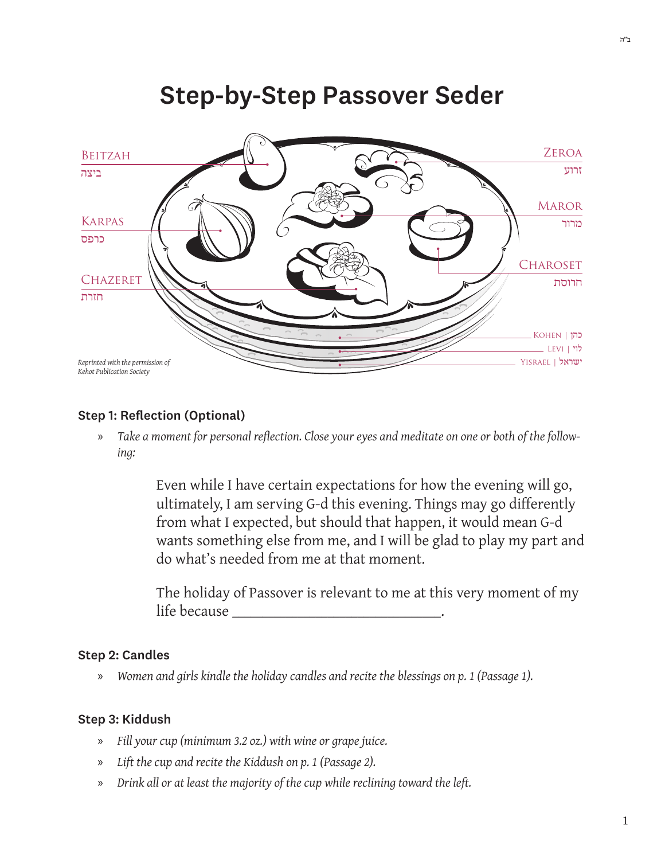

# **Step-by-Step Passover Seder**

# **Step 1: Reflection (Optional)**

Take a moment for personal reflection. Close your eyes and meditate on one or both of the follow- $\mathcal{D}$ ing:

> Even while I have certain expectations for how the evening will go, ultimately, I am serving G-d this evening. Things may go differently from what I expected, but should that happen, it would mean G-d wants something else from me, and I will be glad to play my part and do what's needed from me at that moment.

The holiday of Passover is relevant to me at this very moment of my life because in the basic service of the basic service of the service of the series of the series of the series

#### **Step 2: Candles**

Women and girls kindle the holiday candles and recite the blessings on p. 1 (Passage 1). ))

# Step 3: Kiddush

- Fill your cup (minimum 3.2 oz.) with wine or grape juice. ))
- Lift the cup and recite the Kiddush on p. 1 (Passage 2). X)
- Drink all or at least the majority of the cup while reclining toward the left. <sub>»</sub>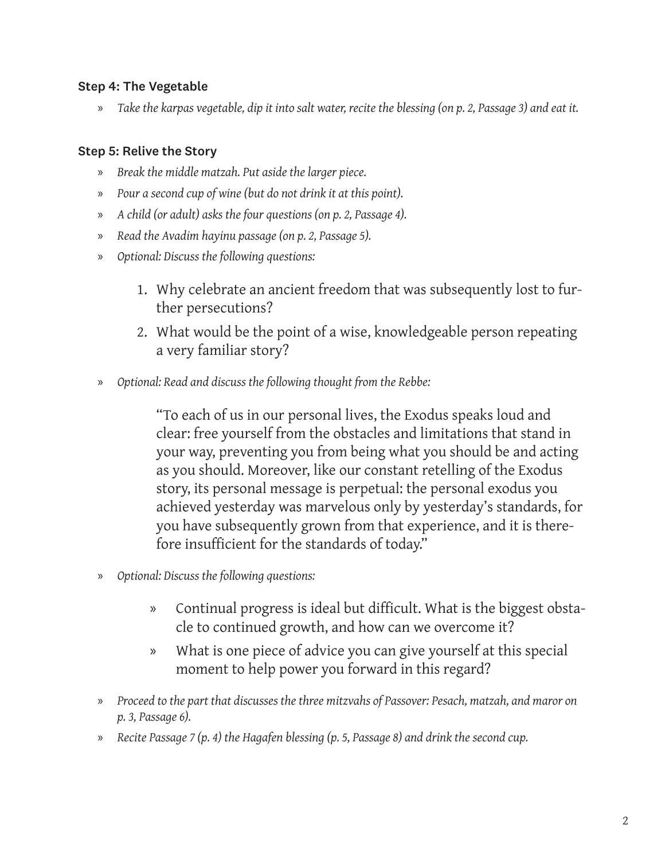# Step 4: The Vegetable

» Take the karpas vegetable, dip it into salt water, recite the blessing (on p. 2, Passage 3) and eat it.

# Step 5: Relive the Story

- *»* Break the middle matzah. Put aside the larger piece.
- *n Pour a second cup of wine (but do not drink it at this point).*
- *n A child (or adult) asks the four questions (on p. 2, Passage 4).*
- *n Read the Avadim hayinu passage (on p. 2, Passage 5).*
- *n optional: Discuss the following questions:* 
	- 1. Why celebrate an ancient freedom that was subsequently lost to fur-<br>ther persecutions?
	- 2. What would be the point of a wise, knowledgeable person repeating a very familiar story?
- $\infty$  *Optional: Read and discuss the following thought from the Rebbe:*

"To each of us in our personal lives, the Exodus speaks loud and clear: free yourself from the obstacles and limitations that stand in your way, preventing you from being what you should be and acting as you should. Moreover, like our constant retelling of the Exodus story, its personal message is perpetual: the personal exodus you achieved yesterday was marvelous only by yesterday's standards, for you have subsequently grown from that experience, and it is there-<br>fore insufficient for the standards of today."

- *<i>Optional: Discuss the following questions:* 
	- » Continual progress is ideal but difficult. What is the biggest obsta-<br>cle to continued growth, and how can we overcome it?
	- » What is one piece of advice you can give yourself at this special moment to help power you forward in this regard?
- *on maror and ,matzah ,Pesach :Passover of mitzvahs three the discusses that part the to Proceed*» *.(6 Passage 3, .p*
- *m* Recite Passage 7 (p. 4) the Hagafen blessing (p. 5, Passage 8) and drink the second cup.